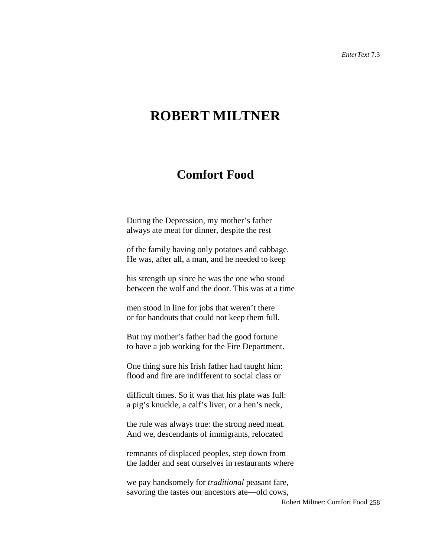## **ROBERT MILTNER**

## **Comfort Food**

During the Depression, my mother's father always ate meat for dinner, despite the rest

of the family having only potatoes and cabbage. He was, after all, a man, and he needed to keep

his strength up since he was the one who stood between the wolf and the door. This was at a time

men stood in line for jobs that weren't there or for handouts that could not keep them full.

But my mother's father had the good fortune to have a job working for the Fire Department.

One thing sure his Irish father had taught him: flood and fire are indifferent to social class or

difficult times. So it was that his plate was full: a pig's knuckle, a calf's liver, or a hen's neck,

the rule was always true: the strong need meat. And we, descendants of immigrants, relocated

remnants of displaced peoples, step down from the ladder and seat ourselves in restaurants where

we pay handsomely for *traditional* peasant fare, savoring the tastes our ancestors ate—old cows,